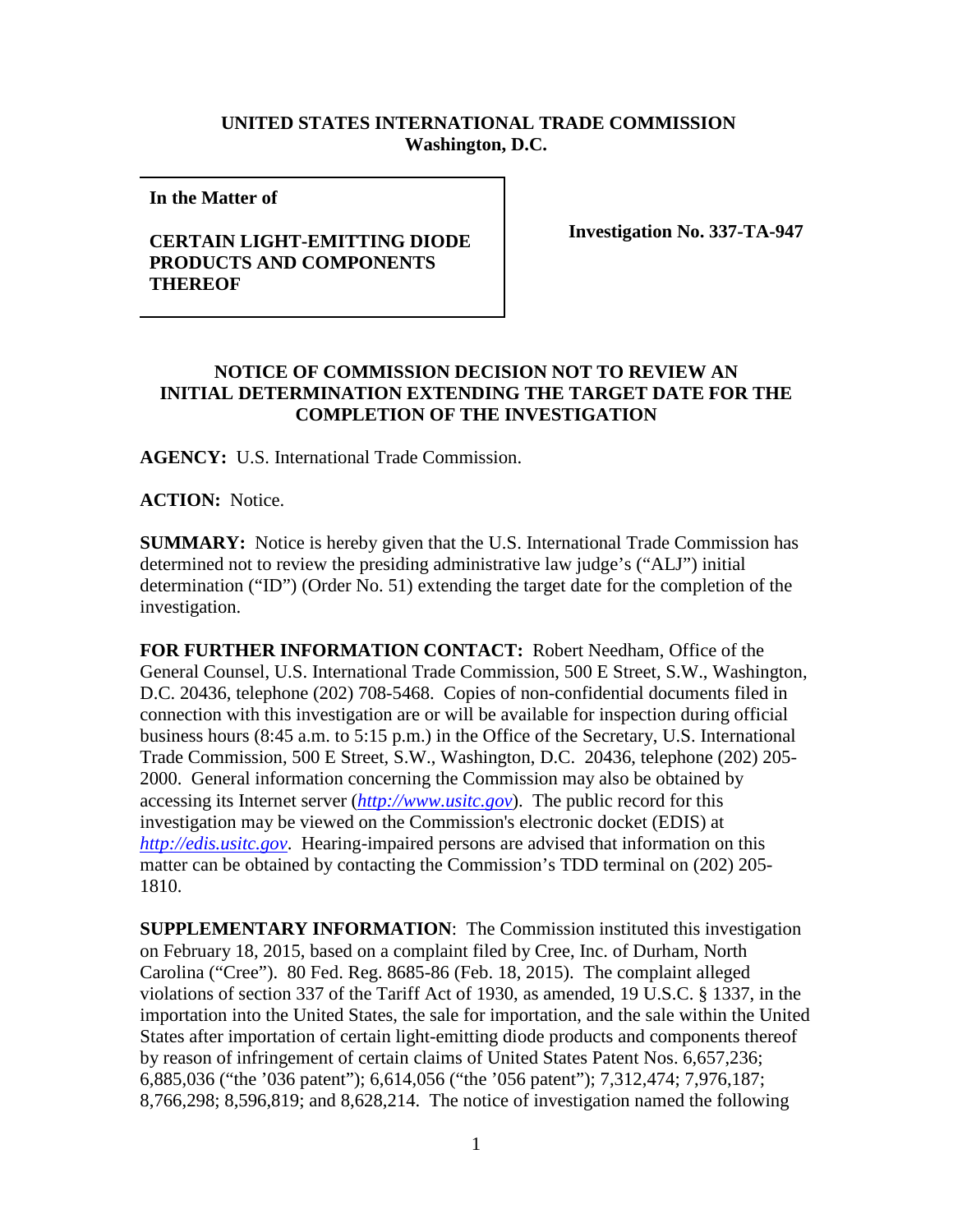## **UNITED STATES INTERNATIONAL TRADE COMMISSION Washington, D.C.**

**In the Matter of** 

## **CERTAIN LIGHT-EMITTING DIODE PRODUCTS AND COMPONENTS THEREOF**

**Investigation No. 337-TA-947**

## **NOTICE OF COMMISSION DECISION NOT TO REVIEW AN INITIAL DETERMINATION EXTENDING THE TARGET DATE FOR THE COMPLETION OF THE INVESTIGATION**

**AGENCY:** U.S. International Trade Commission.

**ACTION:** Notice.

**SUMMARY:** Notice is hereby given that the U.S. International Trade Commission has determined not to review the presiding administrative law judge's ("ALJ") initial determination ("ID") (Order No. 51) extending the target date for the completion of the investigation.

**FOR FURTHER INFORMATION CONTACT:** Robert Needham, Office of the General Counsel, U.S. International Trade Commission, 500 E Street, S.W., Washington, D.C. 20436, telephone (202) 708-5468. Copies of non-confidential documents filed in connection with this investigation are or will be available for inspection during official business hours (8:45 a.m. to 5:15 p.m.) in the Office of the Secretary, U.S. International Trade Commission, 500 E Street, S.W., Washington, D.C. 20436, telephone (202) 205- 2000. General information concerning the Commission may also be obtained by accessing its Internet server (*[http://www.usitc.gov](http://www.usitc.gov/)*). The public record for this investigation may be viewed on the Commission's electronic docket (EDIS) at *[http://edis.usitc.gov](http://edis.usitc.gov/)*. Hearing-impaired persons are advised that information on this matter can be obtained by contacting the Commission's TDD terminal on (202) 205- 1810.

**SUPPLEMENTARY INFORMATION**: The Commission instituted this investigation on February 18, 2015, based on a complaint filed by Cree, Inc. of Durham, North Carolina ("Cree"). 80 Fed. Reg. 8685-86 (Feb. 18, 2015). The complaint alleged violations of section 337 of the Tariff Act of 1930, as amended, 19 U.S.C. § 1337, in the importation into the United States, the sale for importation, and the sale within the United States after importation of certain light-emitting diode products and components thereof by reason of infringement of certain claims of United States Patent Nos. 6,657,236; 6,885,036 ("the '036 patent"); 6,614,056 ("the '056 patent"); 7,312,474; 7,976,187; 8,766,298; 8,596,819; and 8,628,214. The notice of investigation named the following